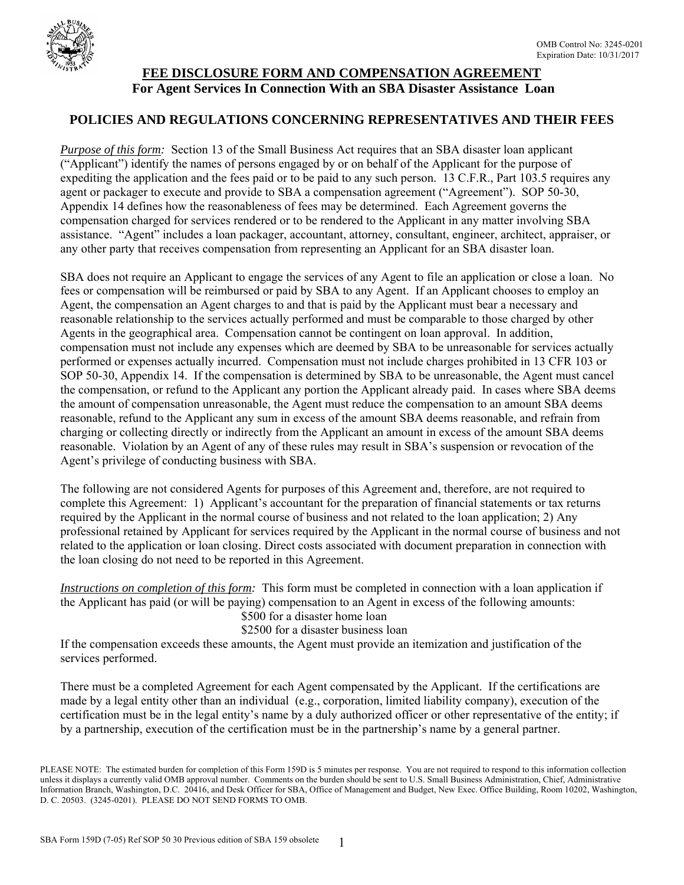

## **FEE DISCLOSURE FORM AND COMPENSATION AGREEMENT For Agent Services In Connection With an SBA Disaster Assistance Loan**

## **POLICIES AND REGULATIONS CONCERNING REPRESENTATIVES AND THEIR FEES**

*Purpose of this form:* Section 13 of the Small Business Act requires that an SBA disaster loan applicant ("Applicant") identify the names of persons engaged by or on behalf of the Applicant for the purpose of expediting the application and the fees paid or to be paid to any such person. 13 C.F.R., Part 103.5 requires any agent or packager to execute and provide to SBA a compensation agreement ("Agreement"). SOP 50-30, Appendix 14 defines how the reasonableness of fees may be determined. Each Agreement governs the compensation charged for services rendered or to be rendered to the Applicant in any matter involving SBA assistance. "Agent" includes a loan packager, accountant, attorney, consultant, engineer, architect, appraiser, or any other party that receives compensation from representing an Applicant for an SBA disaster loan.

SBA does not require an Applicant to engage the services of any Agent to file an application or close a loan. No fees or compensation will be reimbursed or paid by SBA to any Agent. If an Applicant chooses to employ an Agent, the compensation an Agent charges to and that is paid by the Applicant must bear a necessary and reasonable relationship to the services actually performed and must be comparable to those charged by other Agents in the geographical area. Compensation cannot be contingent on loan approval. In addition, compensation must not include any expenses which are deemed by SBA to be unreasonable for services actually performed or expenses actually incurred. Compensation must not include charges prohibited in 13 CFR 103 or SOP 50-30, Appendix 14. If the compensation is determined by SBA to be unreasonable, the Agent must cancel the compensation, or refund to the Applicant any portion the Applicant already paid. In cases where SBA deems the amount of compensation unreasonable, the Agent must reduce the compensation to an amount SBA deems reasonable, refund to the Applicant any sum in excess of the amount SBA deems reasonable, and refrain from charging or collecting directly or indirectly from the Applicant an amount in excess of the amount SBA deems reasonable. Violation by an Agent of any of these rules may result in SBA's suspension or revocation of the Agent's privilege of conducting business with SBA.

The following are not considered Agents for purposes of this Agreement and, therefore, are not required to complete this Agreement: 1) Applicant's accountant for the preparation of financial statements or tax returns required by the Applicant in the normal course of business and not related to the loan application; 2) Any professional retained by Applicant for services required by the Applicant in the normal course of business and not related to the application or loan closing. Direct costs associated with document preparation in connection with the loan closing do not need to be reported in this Agreement.

*Instructions on completion of this form:* This form must be completed in connection with a loan application if the Applicant has paid (or will be paying) compensation to an Agent in excess of the following amounts:

\$500 for a disaster home loan

### \$2500 for a disaster business loan

If the compensation exceeds these amounts, the Agent must provide an itemization and justification of the services performed.

There must be a completed Agreement for each Agent compensated by the Applicant. If the certifications are made by a legal entity other than an individual (e.g., corporation, limited liability company), execution of the certification must be in the legal entity's name by a duly authorized officer or other representative of the entity; if by a partnership, execution of the certification must be in the partnership's name by a general partner.

PLEASE NOTE: The estimated burden for completion of this Form 159D is 5 minutes per response. You are not required to respond to this information collection unless it displays a currently valid OMB approval number. Comments on the burden should be sent to U.S. Small Business Administration, Chief, Administrative Information Branch, Washington, D.C. 20416, and Desk Officer for SBA, Office of Management and Budget, New Exec. Office Building, Room 10202, Washington, D. C. 20503. (3245-0201). PLEASE DO NOT SEND FORMS TO OMB.